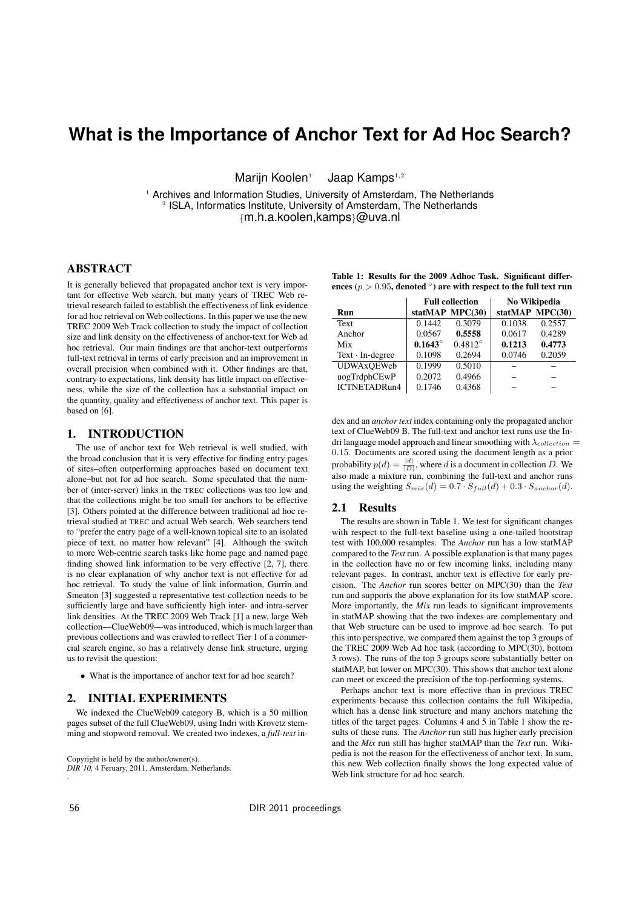# **What is the Importance of Anchor Text for Ad Hoc Search?**

Marijn Koolen<sup>1</sup> Jaap Kamps<sup>1,2</sup>

<sup>1</sup> Archives and Information Studies, University of Amsterdam, The Netherlands <sup>2</sup> ISLA, Informatics Institute, University of Amsterdam, The Netherlands *{*m.h.a.koolen,kamps*}*@uva.nl

## ABSTRACT

It is generally believed that propagated anchor text is very important for effective Web search, but many years of TREC Web retrieval research failed to establish the effectiveness of link evidence for ad hoc retrieval on Web collections. In this paper we use the new TREC 2009 Web Track collection to study the impact of collection size and link density on the effectiveness of anchor-text for Web ad hoc retrieval. Our main findings are that anchor-text outperforms full-text retrieval in terms of early precision and an improvement in overall precision when combined with it. Other findings are that, contrary to expectations, link density has little impact on effectiveness, while the size of the collection has a substantial impact on the quantity, quality and effectiveness of anchor text. This paper is based on [6].

# 1. INTRODUCTION

The use of anchor text for Web retrieval is well studied, with the broad conclusion that it is very effective for finding entry pages of sites–often outperforming approaches based on document text alone–but not for ad hoc search. Some speculated that the number of (inter-server) links in the TREC collections was too low and that the collections might be too small for anchors to be effective [3]. Others pointed at the difference between traditional ad hoc retrieval studied at TREC and actual Web search. Web searchers tend to "prefer the entry page of a well-known topical site to an isolated piece of text, no matter how relevant" [4]. Although the switch to more Web-centric search tasks like home page and named page finding showed link information to be very effective [2, 7], there is no clear explanation of why anchor text is not effective for ad hoc retrieval. To study the value of link information, Gurrin and Smeaton [3] suggested a representative test-collection needs to be sufficiently large and have sufficiently high inter- and intra-server link densities. At the TREC 2009 Web Track [1] a new, large Web collection—ClueWeb09—was introduced, which is much larger than previous collections and was crawled to reflect Tier 1 of a commercial search engine, so has a relatively dense link structure, urging us to revisit the question:

*•* What is the importance of anchor text for ad hoc search?

#### 2. INITIAL EXPERIMENTS

We indexed the ClueWeb09 category B, which is a 50 million pages subset of the full ClueWeb09, using Indri with Krovetz stemming and stopword removal. We created two indexes, a *full-text* in-

Copyright is held by the author/owner(s).

*DIR'10,* 4 Feruary, 2011, Amsterdam, Netherlands.

|  |  |  | Table 1: Results for the 2009 Adhoc Task. Significant differ-                   |  |
|--|--|--|---------------------------------------------------------------------------------|--|
|  |  |  | ences ( $p > 0.95$ , denoted $^{\circ}$ ) are with respect to the full text run |  |

|                        | <b>Full collection</b> |                  | No Wikipedia |                 |  |
|------------------------|------------------------|------------------|--------------|-----------------|--|
| Run                    |                        | statMAP MPC(30)  |              | statMAP MPC(30) |  |
| Text                   | 0.1442                 | 0.3079           | 0.1038       | 0.2557          |  |
| Anchor                 | 0.0567                 | 0.5558           | 0.0617       | 0.4289          |  |
| Mix                    | $0.1643^{\circ}$       | $0.4812^{\circ}$ | 0.1213       | 0.4773          |  |
| $Text \cdot In-degree$ | 0.1098                 | 0.2694           | 0.0746       | 0.2059          |  |
| <b>UDWAxOEWeb</b>      | 0.1999                 | 0.5010           |              |                 |  |
| uogTrdphCEwP           | 0.2072                 | 0.4966           |              |                 |  |
| <b>ICTNETADRun4</b>    | 0.1746                 | 0.4368           |              |                 |  |

dex and an *anchor text* index containing only the propagated anchor text of ClueWeb09 B. The full-text and anchor text runs use the Indri language model approach and linear smoothing with  $\lambda_{collection} =$ 0*.*15. Documents are scored using the document length as a prior probability  $p(d) = \frac{|d|}{|D|}$ , where *d* is a document in collection *D*. We also made a mixture run, combining the full-text and anchor runs using the weighting  $S_{mix}(d) = 0.7 \cdot S_{full}(d) + 0.3 \cdot S_{anchor}(d)$ .

#### 2.1 Results

The results are shown in Table 1. We test for significant changes with respect to the full-text baseline using a one-tailed bootstrap test with 100,000 resamples. The *Anchor* run has a low statMAP compared to the *Text* run. A possible explanation is that many pages in the collection have no or few incoming links, including many relevant pages. In contrast, anchor text is effective for early precision. The *Anchor* run scores better on MPC(30) than the *Text* run and supports the above explanation for its low statMAP score. More importantly, the *Mix* run leads to significant improvements in statMAP showing that the two indexes are complementary and that Web structure can be used to improve ad hoc search. To put this into perspective, we compared them against the top 3 groups of the TREC 2009 Web Ad hoc task (according to MPC(30), bottom 3 rows). The runs of the top 3 groups score substantially better on statMAP, but lower on MPC(30). This shows that anchor text alone can meet or exceed the precision of the top-performing systems.

Perhaps anchor text is more effective than in previous TREC experiments because this collection contains the full Wikipedia, which has a dense link structure and many anchors matching the titles of the target pages. Columns 4 and 5 in Table 1 show the results of these runs. The *Anchor* run still has higher early precision and the *Mix* run still has higher statMAP than the *Text* run. Wikipedia is not the reason for the effectiveness of anchor text. In sum, this new Web collection finally shows the long expected value of Web link structure for ad hoc search.

.